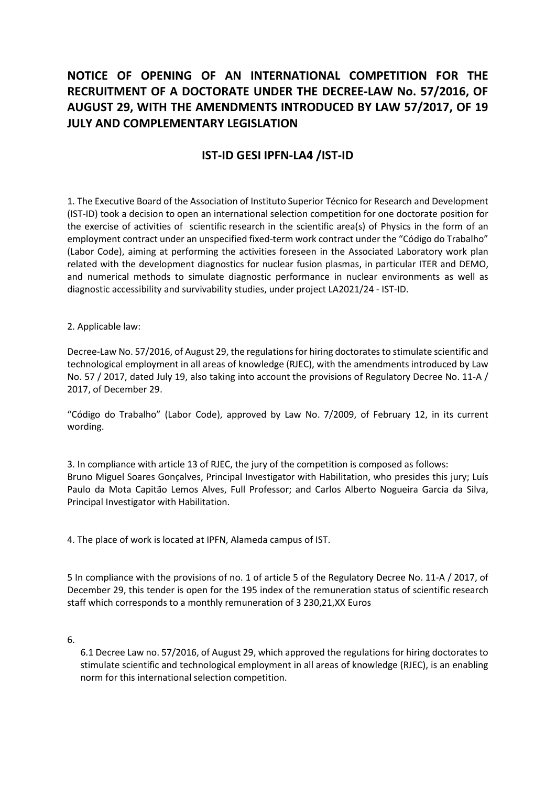## NOTICE OF OPENING OF AN INTERNATIONAL COMPETITION FOR THE RECRUITMENT OF A DOCTORATE UNDER THE DECREE-LAW No. 57/2016, OF AUGUST 29, WITH THE AMENDMENTS INTRODUCED BY LAW 57/2017, OF 19 JULY AND COMPLEMENTARY LEGISLATION

## IST-ID GESI IPFN-LA4 /IST-ID

1. The Executive Board of the Association of Instituto Superior Técnico for Research and Development (IST-ID) took a decision to open an international selection competition for one doctorate position for the exercise of activities of scientific research in the scientific area(s) of Physics in the form of an employment contract under an unspecified fixed-term work contract under the "Código do Trabalho" (Labor Code), aiming at performing the activities foreseen in the Associated Laboratory work plan related with the development diagnostics for nuclear fusion plasmas, in particular ITER and DEMO, and numerical methods to simulate diagnostic performance in nuclear environments as well as diagnostic accessibility and survivability studies, under project LA2021/24 - IST-ID.

2. Applicable law:

Decree-Law No. 57/2016, of August 29, the regulations for hiring doctorates to stimulate scientific and technological employment in all areas of knowledge (RJEC), with the amendments introduced by Law No. 57 / 2017, dated July 19, also taking into account the provisions of Regulatory Decree No. 11-A / 2017, of December 29.

"Código do Trabalho" (Labor Code), approved by Law No. 7/2009, of February 12, in its current wording.

3. In compliance with article 13 of RJEC, the jury of the competition is composed as follows: Bruno Miguel Soares Gonçalves, Principal Investigator with Habilitation, who presides this jury; Luís Paulo da Mota Capitão Lemos Alves, Full Professor; and Carlos Alberto Nogueira Garcia da Silva, Principal Investigator with Habilitation.

4. The place of work is located at IPFN, Alameda campus of IST.

5 In compliance with the provisions of no. 1 of article 5 of the Regulatory Decree No. 11-A / 2017, of December 29, this tender is open for the 195 index of the remuneration status of scientific research staff which corresponds to a monthly remuneration of 3 230,21,XX Euros

6.

6.1 Decree Law no. 57/2016, of August 29, which approved the regulations for hiring doctorates to stimulate scientific and technological employment in all areas of knowledge (RJEC), is an enabling norm for this international selection competition.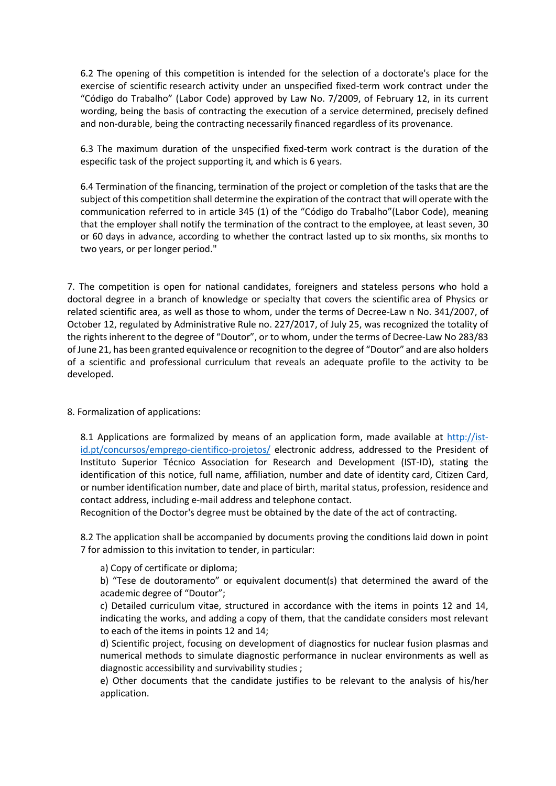6.2 The opening of this competition is intended for the selection of a doctorate's place for the exercise of scientific research activity under an unspecified fixed-term work contract under the "Código do Trabalho" (Labor Code) approved by Law No. 7/2009, of February 12, in its current wording, being the basis of contracting the execution of a service determined, precisely defined and non-durable, being the contracting necessarily financed regardless of its provenance.

6.3 The maximum duration of the unspecified fixed-term work contract is the duration of the especific task of the project supporting it, and which is 6 years.

6.4 Termination of the financing, termination of the project or completion of the tasks that are the subject of this competition shall determine the expiration of the contract that will operate with the communication referred to in article 345 (1) of the "Código do Trabalho"(Labor Code), meaning that the employer shall notify the termination of the contract to the employee, at least seven, 30 or 60 days in advance, according to whether the contract lasted up to six months, six months to two years, or per longer period."

7. The competition is open for national candidates, foreigners and stateless persons who hold a doctoral degree in a branch of knowledge or specialty that covers the scientific area of Physics or related scientific area, as well as those to whom, under the terms of Decree-Law n No. 341/2007, of October 12, regulated by Administrative Rule no. 227/2017, of July 25, was recognized the totality of the rights inherent to the degree of "Doutor", or to whom, under the terms of Decree-Law No 283/83 of June 21, has been granted equivalence or recognition to the degree of "Doutor" and are also holders of a scientific and professional curriculum that reveals an adequate profile to the activity to be developed.

## 8. Formalization of applications:

8.1 Applications are formalized by means of an application form, made available at http://istid.pt/concursos/emprego-cientifico-projetos/ electronic address, addressed to the President of Instituto Superior Técnico Association for Research and Development (IST-ID), stating the identification of this notice, full name, affiliation, number and date of identity card, Citizen Card, or number identification number, date and place of birth, marital status, profession, residence and contact address, including e-mail address and telephone contact.

Recognition of the Doctor's degree must be obtained by the date of the act of contracting.

8.2 The application shall be accompanied by documents proving the conditions laid down in point 7 for admission to this invitation to tender, in particular:

a) Copy of certificate or diploma;

b) "Tese de doutoramento" or equivalent document(s) that determined the award of the academic degree of "Doutor";

c) Detailed curriculum vitae, structured in accordance with the items in points 12 and 14, indicating the works, and adding a copy of them, that the candidate considers most relevant to each of the items in points 12 and 14;

d) Scientific project, focusing on development of diagnostics for nuclear fusion plasmas and numerical methods to simulate diagnostic performance in nuclear environments as well as diagnostic accessibility and survivability studies ;

e) Other documents that the candidate justifies to be relevant to the analysis of his/her application.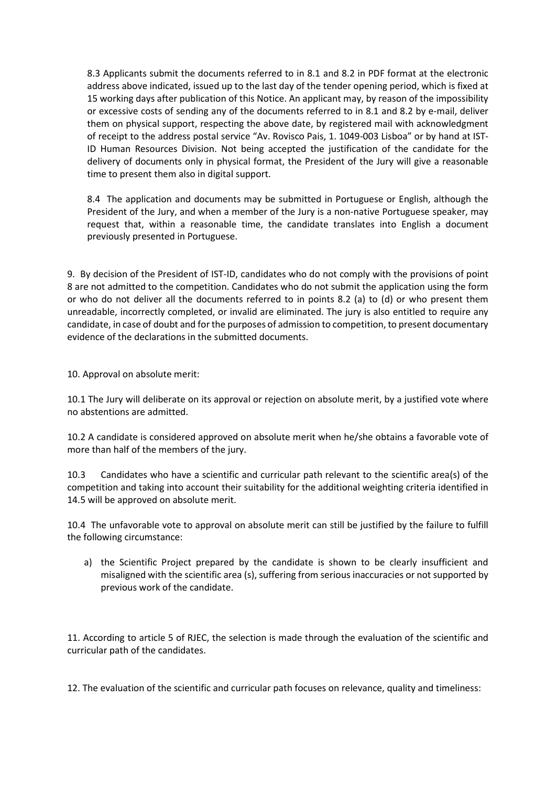8.3 Applicants submit the documents referred to in 8.1 and 8.2 in PDF format at the electronic address above indicated, issued up to the last day of the tender opening period, which is fixed at 15 working days after publication of this Notice. An applicant may, by reason of the impossibility or excessive costs of sending any of the documents referred to in 8.1 and 8.2 by e-mail, deliver them on physical support, respecting the above date, by registered mail with acknowledgment of receipt to the address postal service "Av. Rovisco Pais, 1. 1049-003 Lisboa" or by hand at IST-ID Human Resources Division. Not being accepted the justification of the candidate for the delivery of documents only in physical format, the President of the Jury will give a reasonable time to present them also in digital support.

8.4 The application and documents may be submitted in Portuguese or English, although the President of the Jury, and when a member of the Jury is a non-native Portuguese speaker, may request that, within a reasonable time, the candidate translates into English a document previously presented in Portuguese.

9. By decision of the President of IST-ID, candidates who do not comply with the provisions of point 8 are not admitted to the competition. Candidates who do not submit the application using the form or who do not deliver all the documents referred to in points 8.2 (a) to (d) or who present them unreadable, incorrectly completed, or invalid are eliminated. The jury is also entitled to require any candidate, in case of doubt and for the purposes of admission to competition, to present documentary evidence of the declarations in the submitted documents.

10. Approval on absolute merit:

10.1 The Jury will deliberate on its approval or rejection on absolute merit, by a justified vote where no abstentions are admitted.

10.2 A candidate is considered approved on absolute merit when he/she obtains a favorable vote of more than half of the members of the jury.

10.3 Candidates who have a scientific and curricular path relevant to the scientific area(s) of the competition and taking into account their suitability for the additional weighting criteria identified in 14.5 will be approved on absolute merit.

10.4 The unfavorable vote to approval on absolute merit can still be justified by the failure to fulfill the following circumstance:

a) the Scientific Project prepared by the candidate is shown to be clearly insufficient and misaligned with the scientific area (s), suffering from serious inaccuracies or not supported by previous work of the candidate.

11. According to article 5 of RJEC, the selection is made through the evaluation of the scientific and curricular path of the candidates.

12. The evaluation of the scientific and curricular path focuses on relevance, quality and timeliness: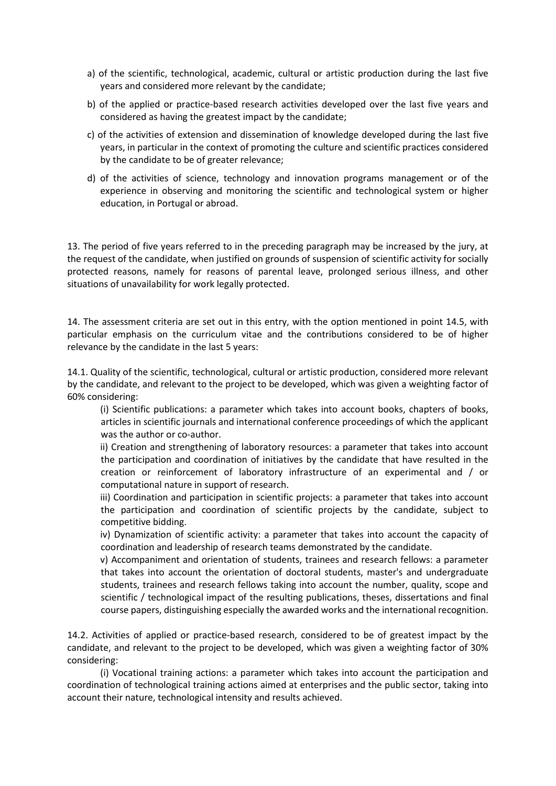- a) of the scientific, technological, academic, cultural or artistic production during the last five years and considered more relevant by the candidate;
- b) of the applied or practice-based research activities developed over the last five years and considered as having the greatest impact by the candidate;
- c) of the activities of extension and dissemination of knowledge developed during the last five years, in particular in the context of promoting the culture and scientific practices considered by the candidate to be of greater relevance;
- d) of the activities of science, technology and innovation programs management or of the experience in observing and monitoring the scientific and technological system or higher education, in Portugal or abroad.

13. The period of five years referred to in the preceding paragraph may be increased by the jury, at the request of the candidate, when justified on grounds of suspension of scientific activity for socially protected reasons, namely for reasons of parental leave, prolonged serious illness, and other situations of unavailability for work legally protected.

14. The assessment criteria are set out in this entry, with the option mentioned in point 14.5, with particular emphasis on the curriculum vitae and the contributions considered to be of higher relevance by the candidate in the last 5 years:

14.1. Quality of the scientific, technological, cultural or artistic production, considered more relevant by the candidate, and relevant to the project to be developed, which was given a weighting factor of 60% considering:

(i) Scientific publications: a parameter which takes into account books, chapters of books, articles in scientific journals and international conference proceedings of which the applicant was the author or co-author.

ii) Creation and strengthening of laboratory resources: a parameter that takes into account the participation and coordination of initiatives by the candidate that have resulted in the creation or reinforcement of laboratory infrastructure of an experimental and / or computational nature in support of research.

iii) Coordination and participation in scientific projects: a parameter that takes into account the participation and coordination of scientific projects by the candidate, subject to competitive bidding.

iv) Dynamization of scientific activity: a parameter that takes into account the capacity of coordination and leadership of research teams demonstrated by the candidate.

v) Accompaniment and orientation of students, trainees and research fellows: a parameter that takes into account the orientation of doctoral students, master's and undergraduate students, trainees and research fellows taking into account the number, quality, scope and scientific / technological impact of the resulting publications, theses, dissertations and final course papers, distinguishing especially the awarded works and the international recognition.

14.2. Activities of applied or practice-based research, considered to be of greatest impact by the candidate, and relevant to the project to be developed, which was given a weighting factor of 30% considering:

(i) Vocational training actions: a parameter which takes into account the participation and coordination of technological training actions aimed at enterprises and the public sector, taking into account their nature, technological intensity and results achieved.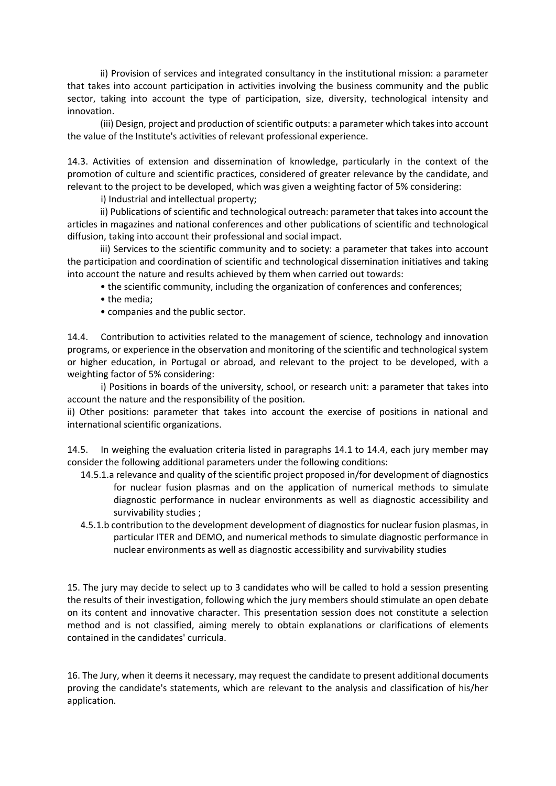ii) Provision of services and integrated consultancy in the institutional mission: a parameter that takes into account participation in activities involving the business community and the public sector, taking into account the type of participation, size, diversity, technological intensity and innovation.

(iii) Design, project and production of scientific outputs: a parameter which takes into account the value of the Institute's activities of relevant professional experience.

14.3. Activities of extension and dissemination of knowledge, particularly in the context of the promotion of culture and scientific practices, considered of greater relevance by the candidate, and relevant to the project to be developed, which was given a weighting factor of 5% considering:

i) Industrial and intellectual property;

ii) Publications of scientific and technological outreach: parameter that takes into account the articles in magazines and national conferences and other publications of scientific and technological diffusion, taking into account their professional and social impact.

iii) Services to the scientific community and to society: a parameter that takes into account the participation and coordination of scientific and technological dissemination initiatives and taking into account the nature and results achieved by them when carried out towards:

• the scientific community, including the organization of conferences and conferences;

- the media;
- companies and the public sector.

14.4. Contribution to activities related to the management of science, technology and innovation programs, or experience in the observation and monitoring of the scientific and technological system or higher education, in Portugal or abroad, and relevant to the project to be developed, with a weighting factor of 5% considering:

 i) Positions in boards of the university, school, or research unit: a parameter that takes into account the nature and the responsibility of the position.

ii) Other positions: parameter that takes into account the exercise of positions in national and international scientific organizations.

14.5. In weighing the evaluation criteria listed in paragraphs 14.1 to 14.4, each jury member may consider the following additional parameters under the following conditions:

- 14.5.1.a relevance and quality of the scientific project proposed in/for development of diagnostics for nuclear fusion plasmas and on the application of numerical methods to simulate diagnostic performance in nuclear environments as well as diagnostic accessibility and survivability studies ;
- 4.5.1.b contribution to the development development of diagnostics for nuclear fusion plasmas, in particular ITER and DEMO, and numerical methods to simulate diagnostic performance in nuclear environments as well as diagnostic accessibility and survivability studies

15. The jury may decide to select up to 3 candidates who will be called to hold a session presenting the results of their investigation, following which the jury members should stimulate an open debate on its content and innovative character. This presentation session does not constitute a selection method and is not classified, aiming merely to obtain explanations or clarifications of elements contained in the candidates' curricula.

16. The Jury, when it deems it necessary, may request the candidate to present additional documents proving the candidate's statements, which are relevant to the analysis and classification of his/her application.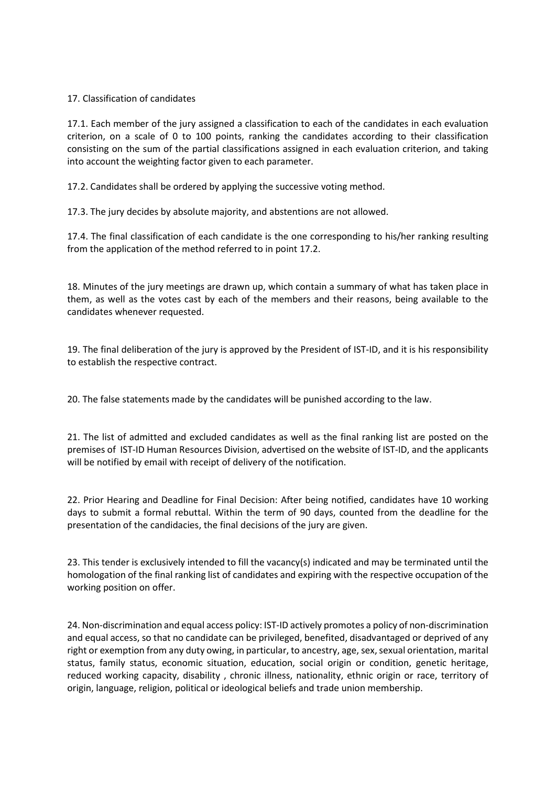## 17. Classification of candidates

17.1. Each member of the jury assigned a classification to each of the candidates in each evaluation criterion, on a scale of 0 to 100 points, ranking the candidates according to their classification consisting on the sum of the partial classifications assigned in each evaluation criterion, and taking into account the weighting factor given to each parameter.

17.2. Candidates shall be ordered by applying the successive voting method.

17.3. The jury decides by absolute majority, and abstentions are not allowed.

17.4. The final classification of each candidate is the one corresponding to his/her ranking resulting from the application of the method referred to in point 17.2.

18. Minutes of the jury meetings are drawn up, which contain a summary of what has taken place in them, as well as the votes cast by each of the members and their reasons, being available to the candidates whenever requested.

19. The final deliberation of the jury is approved by the President of IST-ID, and it is his responsibility to establish the respective contract.

20. The false statements made by the candidates will be punished according to the law.

21. The list of admitted and excluded candidates as well as the final ranking list are posted on the premises of IST-ID Human Resources Division, advertised on the website of IST-ID, and the applicants will be notified by email with receipt of delivery of the notification.

22. Prior Hearing and Deadline for Final Decision: After being notified, candidates have 10 working days to submit a formal rebuttal. Within the term of 90 days, counted from the deadline for the presentation of the candidacies, the final decisions of the jury are given.

23. This tender is exclusively intended to fill the vacancy(s) indicated and may be terminated until the homologation of the final ranking list of candidates and expiring with the respective occupation of the working position on offer.

24. Non-discrimination and equal access policy: IST-ID actively promotes a policy of non-discrimination and equal access, so that no candidate can be privileged, benefited, disadvantaged or deprived of any right or exemption from any duty owing, in particular, to ancestry, age, sex, sexual orientation, marital status, family status, economic situation, education, social origin or condition, genetic heritage, reduced working capacity, disability , chronic illness, nationality, ethnic origin or race, territory of origin, language, religion, political or ideological beliefs and trade union membership.